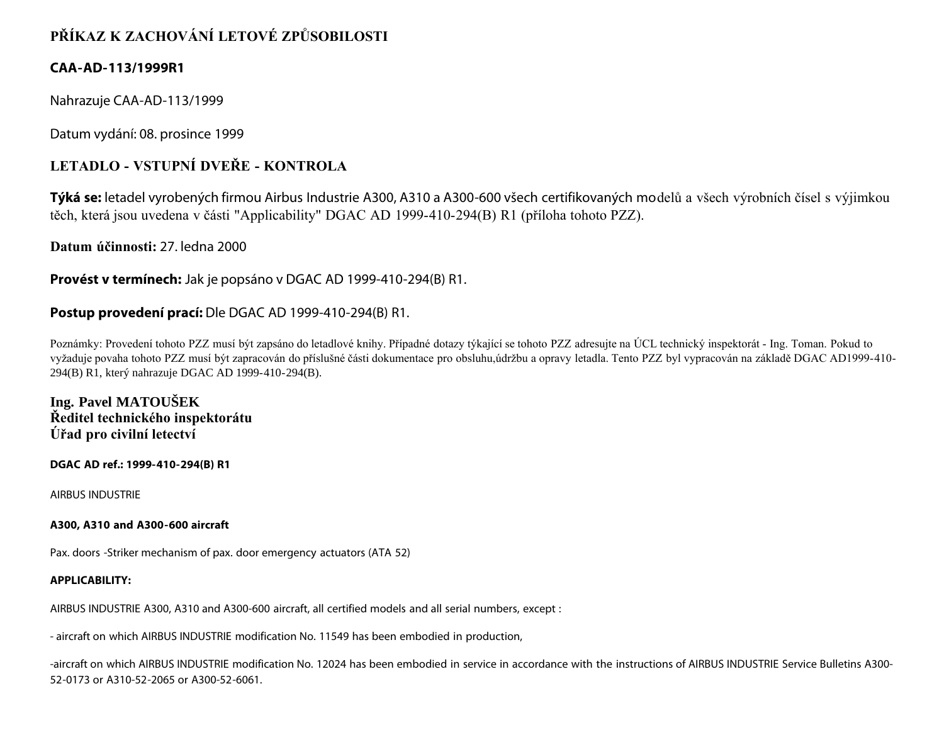# **PŘÍKAZ K ZACHOVÁNÍ LETOVÉ ZPŮSOBILOSTI**

# **CAA-AD-113/1999R1**

Nahrazuje CAA-AD-113/1999

Datum vydání: 08. prosince 1999

# **LETADLO - VSTUPNÍ DVEŘE - KONTROLA**

**Týká se:** letadel vyrobených firmou Airbus Industrie A300, A310 a A300-600 všech certifikovaných modelů a všech výrobních čísel s výjimkou těch, která jsou uvedena v části "Applicability" DGAC AD 1999-410-294(B) R1 (příloha tohoto PZZ).

**Datum účinnosti:** 27. ledna 2000

**Provést v termínech:** Jak je popsáno v DGAC AD 1999-410-294(B) R1.

## **Postup provedení prací:** Dle DGAC AD 1999-410-294(B) R1.

Poznámky: Provedení tohoto PZZ musí být zapsáno do letadlové knihy. Případné dotazy týkající se tohoto PZZ adresujte na ÚCL technický inspektorát - Ing. Toman. Pokud to vyžaduje povaha tohoto PZZ musí být zapracován do příslušné části dokumentace pro obsluhu,údržbu a opravy letadla. Tento PZZ byl vypracován na základě DGAC AD1999-410- 294(B) R1, který nahrazuje DGAC AD 1999-410-294(B).

**Ing. Pavel MATOUŠEK Ředitel technického inspektorátu Úřad pro civilní letectví**

**DGAC AD ref.: 1999-410-294(B) R1**

AIRBUS INDUSTRIE

## **A300, A310 and A300-600 aircraft**

Pax. doors -Striker mechanism of pax. door emergency actuators (ATA 52)

## **APPLICABILITY:**

AIRBUS INDUSTRIE A300, A310 and A300-600 aircraft, all certified models and all serial numbers, except :

- aircraft on which AIRBUS INDUSTRIE modification No. 11549 has been embodied in production,

-aircraft on which AIRBUS INDUSTRIE modification No. 12024 has been embodied in service in accordance with the instructions of AIRBUS INDUSTRIE Service Bulletins A300- 52-0173 or A310-52-2065 or A300-52-6061.